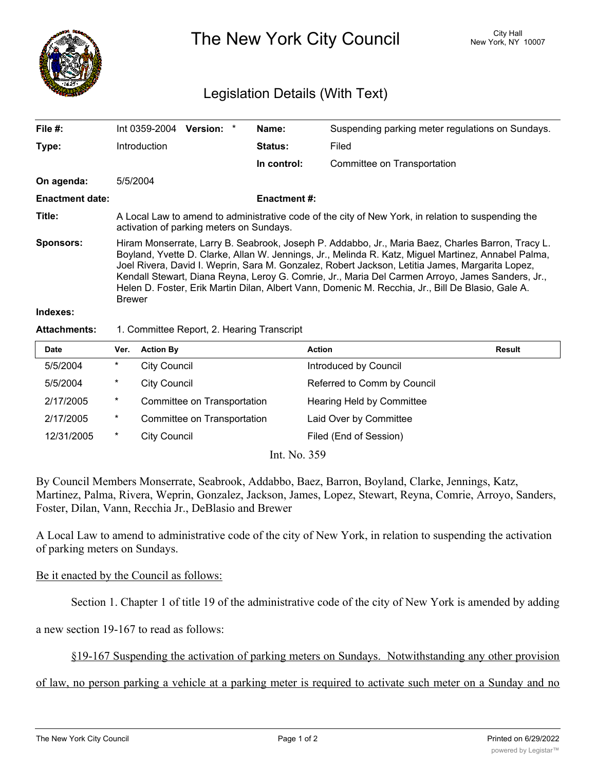

The New York City Council New York, NY 10007

## Legislation Details (With Text)

| File #:                | Int 0359-2004                                                                                                                                                                                                                                                                                                                                                                                                                                                                                                                         | Version: * |  | Name:          | Suspending parking meter regulations on Sundays. |  |  |
|------------------------|---------------------------------------------------------------------------------------------------------------------------------------------------------------------------------------------------------------------------------------------------------------------------------------------------------------------------------------------------------------------------------------------------------------------------------------------------------------------------------------------------------------------------------------|------------|--|----------------|--------------------------------------------------|--|--|
| Type:                  | Introduction                                                                                                                                                                                                                                                                                                                                                                                                                                                                                                                          |            |  | <b>Status:</b> | Filed                                            |  |  |
|                        |                                                                                                                                                                                                                                                                                                                                                                                                                                                                                                                                       |            |  | In control:    | Committee on Transportation                      |  |  |
| On agenda:             | 5/5/2004                                                                                                                                                                                                                                                                                                                                                                                                                                                                                                                              |            |  |                |                                                  |  |  |
| <b>Enactment date:</b> | <b>Enactment #:</b>                                                                                                                                                                                                                                                                                                                                                                                                                                                                                                                   |            |  |                |                                                  |  |  |
| Title:                 | A Local Law to amend to administrative code of the city of New York, in relation to suspending the<br>activation of parking meters on Sundays.                                                                                                                                                                                                                                                                                                                                                                                        |            |  |                |                                                  |  |  |
| <b>Sponsors:</b>       | Hiram Monserrate, Larry B. Seabrook, Joseph P. Addabbo, Jr., Maria Baez, Charles Barron, Tracy L.<br>Boyland, Yvette D. Clarke, Allan W. Jennings, Jr., Melinda R. Katz, Miguel Martinez, Annabel Palma,<br>Joel Rivera, David I. Weprin, Sara M. Gonzalez, Robert Jackson, Letitia James, Margarita Lopez,<br>Kendall Stewart, Diana Reyna, Leroy G. Comrie, Jr., Maria Del Carmen Arroyo, James Sanders, Jr.,<br>Helen D. Foster, Erik Martin Dilan, Albert Vann, Domenic M. Recchia, Jr., Bill De Blasio, Gale A.<br><b>Brewer</b> |            |  |                |                                                  |  |  |
| Indexes:               |                                                                                                                                                                                                                                                                                                                                                                                                                                                                                                                                       |            |  |                |                                                  |  |  |

## Attachments: 1. Committee Report, 2. Hearing Transcript

| <b>Date</b> | Ver.   | <b>Action By</b>            | Action                      | Result |
|-------------|--------|-----------------------------|-----------------------------|--------|
| 5/5/2004    | $\ast$ | <b>City Council</b>         | Introduced by Council       |        |
| 5/5/2004    | $\ast$ | <b>City Council</b>         | Referred to Comm by Council |        |
| 2/17/2005   | $\ast$ | Committee on Transportation | Hearing Held by Committee   |        |
| 2/17/2005   | $\ast$ | Committee on Transportation | Laid Over by Committee      |        |
| 12/31/2005  | $\ast$ | <b>City Council</b>         | Filed (End of Session)      |        |
|             |        | $Int$ N <sub>o</sub> 250    |                             |        |

Int. No. 359

By Council Members Monserrate, Seabrook, Addabbo, Baez, Barron, Boyland, Clarke, Jennings, Katz, Martinez, Palma, Rivera, Weprin, Gonzalez, Jackson, James, Lopez, Stewart, Reyna, Comrie, Arroyo, Sanders, Foster, Dilan, Vann, Recchia Jr., DeBlasio and Brewer

A Local Law to amend to administrative code of the city of New York, in relation to suspending the activation of parking meters on Sundays.

## Be it enacted by the Council as follows:

Section 1. Chapter 1 of title 19 of the administrative code of the city of New York is amended by adding

a new section 19-167 to read as follows:

§19-167 Suspending the activation of parking meters on Sundays. Notwithstanding any other provision

of law, no person parking a vehicle at a parking meter is required to activate such meter on a Sunday and no